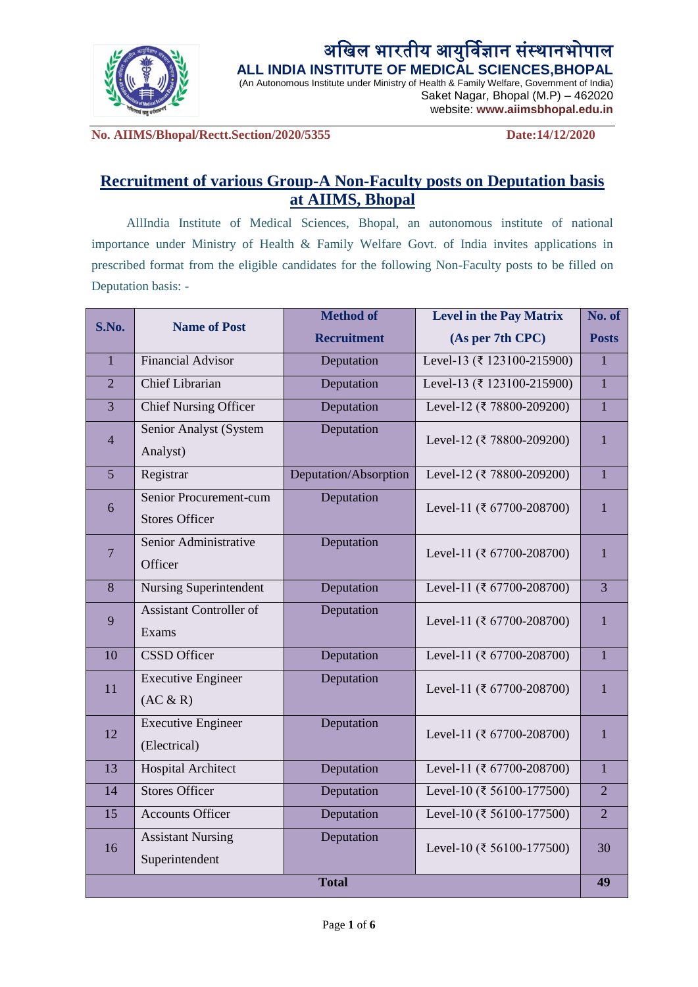

## अखिल भारतीय आयुर्विज्ञान संस्थानभोपाल **ALL INDIA INSTITUTE OF MEDICAL SCIENCES,BHOPAL**

(An Autonomous Institute under Ministry of Health & Family Welfare, Government of India) Saket Nagar, Bhopal (M.P) – 462020

website: **www.aiimsbhopal.edu.in**

**No. AIIMS/Bhopal/Rectt.Section/2020/5355 Date:14/12/2020**

# **Recruitment of various Group-A Non-Faculty posts on Deputation basis at AIIMS, Bhopal**

AllIndia Institute of Medical Sciences, Bhopal, an autonomous institute of national importance under Ministry of Health & Family Welfare Govt. of India invites applications in prescribed format from the eligible candidates for the following Non-Faculty posts to be filled on Deputation basis: -

| S.No.              | <b>Name of Post</b>            | <b>Method of</b>      | <b>Level in the Pay Matrix</b>            | No. of         |
|--------------------|--------------------------------|-----------------------|-------------------------------------------|----------------|
|                    |                                | <b>Recruitment</b>    | (As per 7th CPC)                          | <b>Posts</b>   |
| $\mathbf{1}$       | Financial Advisor              | Deputation            | Level-13 (₹ 123100-215900)                | $\mathbf{1}$   |
| $\overline{2}$     | <b>Chief Librarian</b>         | Deputation            | Level-13 (₹ 123100-215900)                | $\mathbf{1}$   |
| 3                  | <b>Chief Nursing Officer</b>   | Deputation            | Level-12 (₹ 78800-209200)                 | $\mathbf{1}$   |
| $\overline{4}$     | Senior Analyst (System         | Deputation            | Level-12 (₹ 78800-209200)                 | $\mathbf{1}$   |
|                    | Analyst)                       |                       |                                           |                |
| $\overline{5}$     | Registrar                      | Deputation/Absorption | Level-12 (₹ 78800-209200)                 | $\mathbf{1}$   |
| $\boldsymbol{6}$   | Senior Procurement-cum         | Deputation            | Level-11 (₹ 67700-208700)                 | $\mathbf{1}$   |
|                    | <b>Stores Officer</b>          |                       |                                           |                |
| $\overline{7}$     | Senior Administrative          | Deputation            | Level-11 (₹ 67700-208700)                 | 1              |
|                    | Officer                        |                       |                                           |                |
| $\bf 8$            | <b>Nursing Superintendent</b>  | Deputation            | Level-11 (₹ 67700-208700)                 | $\overline{3}$ |
| 9                  | <b>Assistant Controller of</b> | Deputation            | Level-11 (₹ 67700-208700)                 | 1              |
|                    | Exams                          |                       |                                           |                |
| 10                 | <b>CSSD</b> Officer            | Deputation            | Level-11 (₹ 67700-208700)                 | $\mathbf{1}$   |
| 11                 | Executive Engineer             | Deputation            | Level-11 (₹ 67700-208700)                 | 1              |
|                    | (AC & R)                       |                       |                                           |                |
| 12                 | <b>Executive Engineer</b>      | Deputation            | Level-11 (₹ 67700-208700)                 | $\mathbf{1}$   |
|                    | (Electrical)                   |                       |                                           |                |
| 13                 | <b>Hospital Architect</b>      | Deputation            | Level-11 (₹ 67700-208700)                 | $\mathbf{1}$   |
| 14                 | <b>Stores Officer</b>          | Deputation            | Level-10 ( $\overline{\xi}$ 56100-177500) | $\overline{2}$ |
| 15                 | <b>Accounts Officer</b>        | Deputation            | Level-10 (₹ 56100-177500)                 | $\overline{2}$ |
| 16                 | <b>Assistant Nursing</b>       | Deputation            | Level-10 (₹ 56100-177500)                 | 30             |
|                    | Superintendent                 |                       |                                           |                |
| <b>Total</b><br>49 |                                |                       |                                           |                |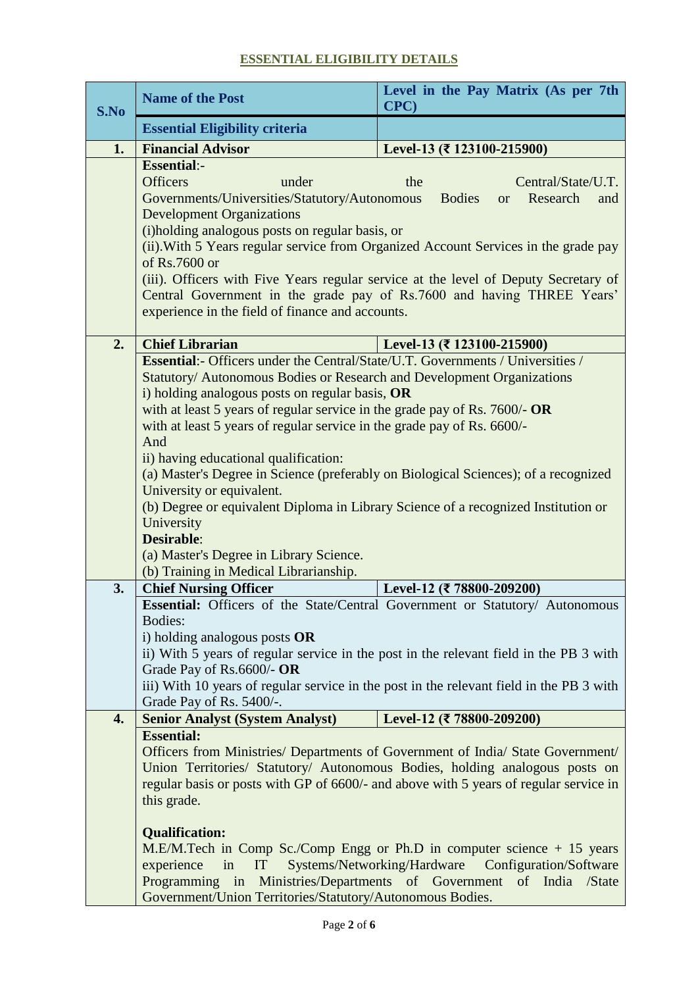## **ESSENTIAL ELIGIBILITY DETAILS**

| S.No | <b>Name of the Post</b>                                                                                                                                                                                                                                                                                                                                                                                                                                                                                                                                                                                                                                                                                                                                         | Level in the Pay Matrix (As per 7th<br>CPC)                                                               |  |  |
|------|-----------------------------------------------------------------------------------------------------------------------------------------------------------------------------------------------------------------------------------------------------------------------------------------------------------------------------------------------------------------------------------------------------------------------------------------------------------------------------------------------------------------------------------------------------------------------------------------------------------------------------------------------------------------------------------------------------------------------------------------------------------------|-----------------------------------------------------------------------------------------------------------|--|--|
|      | <b>Essential Eligibility criteria</b>                                                                                                                                                                                                                                                                                                                                                                                                                                                                                                                                                                                                                                                                                                                           |                                                                                                           |  |  |
| 1.   | <b>Financial Advisor</b>                                                                                                                                                                                                                                                                                                                                                                                                                                                                                                                                                                                                                                                                                                                                        | Level-13 (₹ 123100-215900)                                                                                |  |  |
|      | <b>Essential:-</b><br><b>Officers</b><br>Central/State/U.T.<br>under<br>the<br>Governments/Universities/Statutory/Autonomous<br><b>Bodies</b><br>Research<br>and<br><b>or</b><br><b>Development Organizations</b><br>(i)holding analogous posts on regular basis, or<br>(ii). With 5 Years regular service from Organized Account Services in the grade pay<br>of Rs.7600 or<br>(iii). Officers with Five Years regular service at the level of Deputy Secretary of<br>Central Government in the grade pay of Rs.7600 and having THREE Years'<br>experience in the field of finance and accounts.                                                                                                                                                               |                                                                                                           |  |  |
| 2.   | <b>Chief Librarian</b>                                                                                                                                                                                                                                                                                                                                                                                                                                                                                                                                                                                                                                                                                                                                          | Level-13 (₹ 123100-215900)                                                                                |  |  |
| 3.   | <b>Essential:-</b> Officers under the Central/State/U.T. Governments / Universities /<br>Statutory/ Autonomous Bodies or Research and Development Organizations<br>i) holding analogous posts on regular basis, OR<br>with at least 5 years of regular service in the grade pay of Rs. $7600/-$ OR<br>with at least 5 years of regular service in the grade pay of Rs. 6600/-<br>And<br>ii) having educational qualification:<br>(a) Master's Degree in Science (preferably on Biological Sciences); of a recognized<br>University or equivalent.<br>(b) Degree or equivalent Diploma in Library Science of a recognized Institution or<br>University<br><b>Desirable:</b><br>(a) Master's Degree in Library Science.<br>(b) Training in Medical Librarianship. |                                                                                                           |  |  |
|      | <b>Chief Nursing Officer</b>                                                                                                                                                                                                                                                                                                                                                                                                                                                                                                                                                                                                                                                                                                                                    | Level-12 (₹ 78800-209200)<br>Essential: Officers of the State/Central Government or Statutory/ Autonomous |  |  |
|      | Bodies:<br>i) holding analogous posts $OR$<br>ii) With 5 years of regular service in the post in the relevant field in the PB 3 with<br>Grade Pay of Rs.6600/- OR<br>iii) With 10 years of regular service in the post in the relevant field in the PB 3 with<br>Grade Pay of Rs. 5400/-.                                                                                                                                                                                                                                                                                                                                                                                                                                                                       |                                                                                                           |  |  |
| 4.   | <b>Senior Analyst (System Analyst)</b>                                                                                                                                                                                                                                                                                                                                                                                                                                                                                                                                                                                                                                                                                                                          | Level-12 (₹ 78800-209200)                                                                                 |  |  |
|      | <b>Essential:</b><br>Officers from Ministries/ Departments of Government of India/ State Government/<br>Union Territories/ Statutory/ Autonomous Bodies, holding analogous posts on<br>regular basis or posts with GP of 6600/- and above with 5 years of regular service in<br>this grade.<br><b>Qualification:</b><br>M.E/M.Tech in Comp Sc./Comp Engg or Ph.D in computer science + 15 years                                                                                                                                                                                                                                                                                                                                                                 |                                                                                                           |  |  |
|      | Systems/Networking/Hardware Configuration/Software<br>in<br>experience<br>IT<br>Programming in Ministries/Departments of Government of India /State<br>Government/Union Territories/Statutory/Autonomous Bodies.                                                                                                                                                                                                                                                                                                                                                                                                                                                                                                                                                |                                                                                                           |  |  |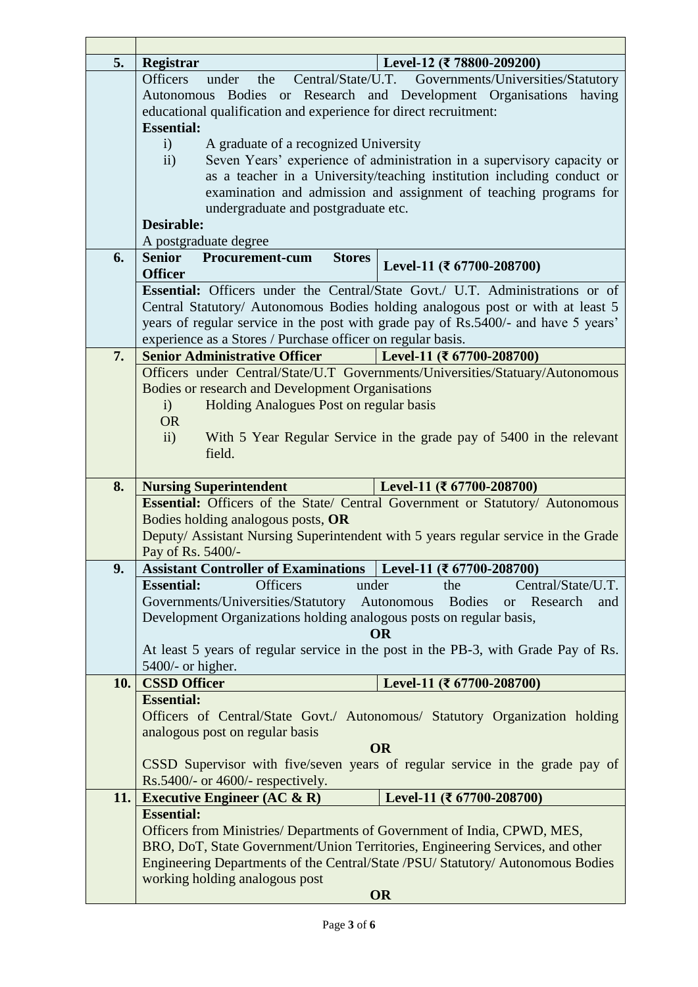| 5.  | Registrar                                                                                                                                                                                              |                                                                     | Level-12 (₹ 78800-209200)                                                                                          |  |  |  |
|-----|--------------------------------------------------------------------------------------------------------------------------------------------------------------------------------------------------------|---------------------------------------------------------------------|--------------------------------------------------------------------------------------------------------------------|--|--|--|
|     | Central/State/U.T. Governments/Universities/Statutory<br><b>Officers</b><br>under<br>the                                                                                                               |                                                                     |                                                                                                                    |  |  |  |
|     |                                                                                                                                                                                                        |                                                                     | Autonomous Bodies or Research and Development Organisations having                                                 |  |  |  |
|     |                                                                                                                                                                                                        | educational qualification and experience for direct recruitment:    |                                                                                                                    |  |  |  |
|     | <b>Essential:</b>                                                                                                                                                                                      |                                                                     |                                                                                                                    |  |  |  |
|     | A graduate of a recognized University<br>i)<br>Seven Years' experience of administration in a supervisory capacity or<br>ii)<br>as a teacher in a University/teaching institution including conduct or |                                                                     |                                                                                                                    |  |  |  |
|     |                                                                                                                                                                                                        |                                                                     |                                                                                                                    |  |  |  |
|     |                                                                                                                                                                                                        |                                                                     |                                                                                                                    |  |  |  |
|     | examination and admission and assignment of teaching programs for<br>undergraduate and postgraduate etc.                                                                                               |                                                                     |                                                                                                                    |  |  |  |
|     |                                                                                                                                                                                                        |                                                                     |                                                                                                                    |  |  |  |
|     |                                                                                                                                                                                                        | <b>Desirable:</b>                                                   |                                                                                                                    |  |  |  |
|     | A postgraduate degree                                                                                                                                                                                  |                                                                     |                                                                                                                    |  |  |  |
| 6.  | <b>Senior</b>                                                                                                                                                                                          | <b>Procurement-cum</b><br><b>Stores</b>                             | Level-11 (₹ $67700-208700$ )                                                                                       |  |  |  |
|     | <b>Officer</b>                                                                                                                                                                                         |                                                                     |                                                                                                                    |  |  |  |
|     |                                                                                                                                                                                                        |                                                                     | <b>Essential:</b> Officers under the Central/State Govt. U.T. Administrations or of                                |  |  |  |
|     |                                                                                                                                                                                                        |                                                                     | Central Statutory/ Autonomous Bodies holding analogous post or with at least 5                                     |  |  |  |
|     |                                                                                                                                                                                                        |                                                                     | years of regular service in the post with grade pay of Rs.5400/- and have 5 years'                                 |  |  |  |
|     |                                                                                                                                                                                                        | experience as a Stores / Purchase officer on regular basis.         |                                                                                                                    |  |  |  |
| 7.  |                                                                                                                                                                                                        | <b>Senior Administrative Officer</b>                                | Level-11 (₹ $67700-208700$ )                                                                                       |  |  |  |
|     | Officers under Central/State/U.T Governments/Universities/Statuary/Autonomous                                                                                                                          |                                                                     |                                                                                                                    |  |  |  |
|     |                                                                                                                                                                                                        | <b>Bodies or research and Development Organisations</b>             |                                                                                                                    |  |  |  |
|     | $\mathbf{i}$                                                                                                                                                                                           | Holding Analogues Post on regular basis                             |                                                                                                                    |  |  |  |
|     | <b>OR</b>                                                                                                                                                                                              |                                                                     |                                                                                                                    |  |  |  |
|     | ii)                                                                                                                                                                                                    |                                                                     | With 5 Year Regular Service in the grade pay of 5400 in the relevant                                               |  |  |  |
|     |                                                                                                                                                                                                        | field.                                                              |                                                                                                                    |  |  |  |
|     |                                                                                                                                                                                                        |                                                                     |                                                                                                                    |  |  |  |
|     |                                                                                                                                                                                                        |                                                                     |                                                                                                                    |  |  |  |
| 8.  |                                                                                                                                                                                                        | <b>Nursing Superintendent</b>                                       | Level-11 (₹ $67700-208700$ )                                                                                       |  |  |  |
|     |                                                                                                                                                                                                        |                                                                     | Essential: Officers of the State/ Central Government or Statutory/ Autonomous                                      |  |  |  |
|     |                                                                                                                                                                                                        | Bodies holding analogous posts, OR                                  |                                                                                                                    |  |  |  |
|     |                                                                                                                                                                                                        |                                                                     | Deputy/ Assistant Nursing Superintendent with 5 years regular service in the Grade                                 |  |  |  |
|     | Pay of Rs. 5400/-                                                                                                                                                                                      |                                                                     |                                                                                                                    |  |  |  |
| 9.  | <b>Essential:</b>                                                                                                                                                                                      | <b>Officers</b>                                                     | Assistant Controller of Examinations   Level-11 ( $\bar{\tau}$ 67700-208700)<br>Central/State/U.T.<br>under<br>the |  |  |  |
|     |                                                                                                                                                                                                        | Governments/Universities/Statutory                                  | Autonomous<br><b>Bodies</b><br>Research<br><b>or</b><br>and                                                        |  |  |  |
|     |                                                                                                                                                                                                        |                                                                     |                                                                                                                    |  |  |  |
|     |                                                                                                                                                                                                        | Development Organizations holding analogous posts on regular basis, | <b>OR</b>                                                                                                          |  |  |  |
|     |                                                                                                                                                                                                        |                                                                     | At least 5 years of regular service in the post in the PB-3, with Grade Pay of Rs.                                 |  |  |  |
|     | $5400/-$ or higher.                                                                                                                                                                                    |                                                                     |                                                                                                                    |  |  |  |
| 10. | <b>CSSD Officer</b>                                                                                                                                                                                    |                                                                     | Level-11 (₹ $67700-208700$ )                                                                                       |  |  |  |
|     | <b>Essential:</b>                                                                                                                                                                                      |                                                                     |                                                                                                                    |  |  |  |
|     |                                                                                                                                                                                                        |                                                                     | Officers of Central/State Govt./ Autonomous/ Statutory Organization holding                                        |  |  |  |
|     |                                                                                                                                                                                                        | analogous post on regular basis                                     |                                                                                                                    |  |  |  |
|     |                                                                                                                                                                                                        |                                                                     | <b>OR</b>                                                                                                          |  |  |  |
|     |                                                                                                                                                                                                        |                                                                     | CSSD Supervisor with five/seven years of regular service in the grade pay of                                       |  |  |  |
|     |                                                                                                                                                                                                        | $Rs.5400/-$ or 4600/- respectively.                                 |                                                                                                                    |  |  |  |
| 11. |                                                                                                                                                                                                        | Executive Engineer $(AC & R)$                                       | Level-11 (₹ 67700-208700)                                                                                          |  |  |  |
|     | <b>Essential:</b>                                                                                                                                                                                      |                                                                     |                                                                                                                    |  |  |  |
|     |                                                                                                                                                                                                        |                                                                     | Officers from Ministries/ Departments of Government of India, CPWD, MES,                                           |  |  |  |
|     |                                                                                                                                                                                                        |                                                                     | BRO, DoT, State Government/Union Territories, Engineering Services, and other                                      |  |  |  |
|     |                                                                                                                                                                                                        |                                                                     | Engineering Departments of the Central/State /PSU/ Statutory/ Autonomous Bodies                                    |  |  |  |
|     |                                                                                                                                                                                                        | working holding analogous post                                      | <b>OR</b>                                                                                                          |  |  |  |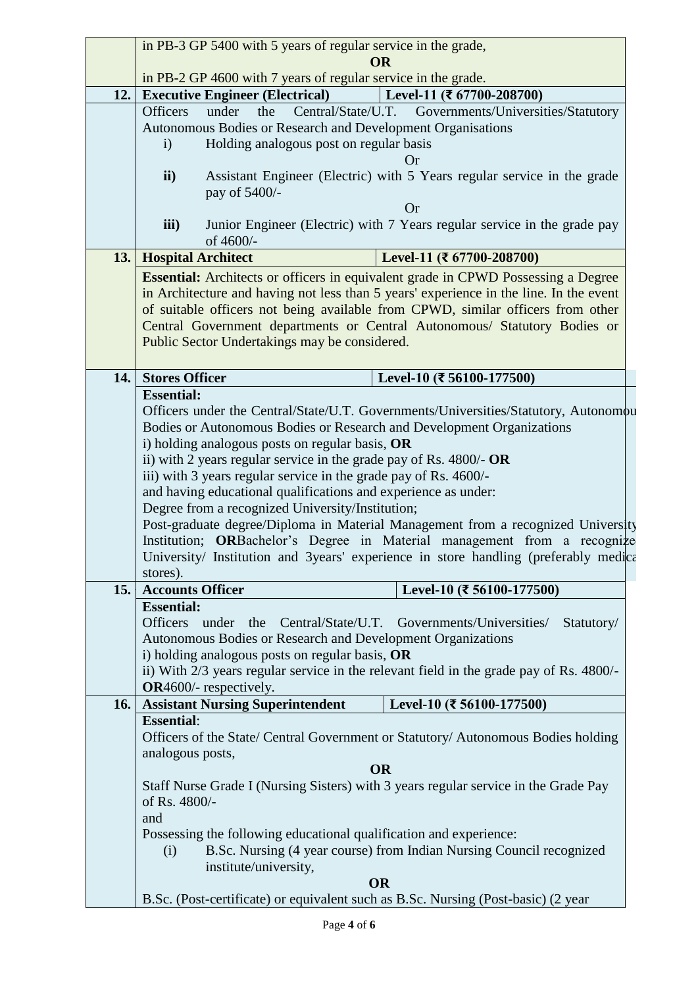|      | in PB-3 GP 5400 with 5 years of regular service in the grade,                                                                                                                                                                                                                                                                          |                                |  |  |  |
|------|----------------------------------------------------------------------------------------------------------------------------------------------------------------------------------------------------------------------------------------------------------------------------------------------------------------------------------------|--------------------------------|--|--|--|
|      | <b>OR</b>                                                                                                                                                                                                                                                                                                                              |                                |  |  |  |
|      | in PB-2 GP 4600 with 7 years of regular service in the grade.                                                                                                                                                                                                                                                                          |                                |  |  |  |
| 12.  | <b>Executive Engineer (Electrical)</b>                                                                                                                                                                                                                                                                                                 | Level-11 (₹ $67700-208700$ )   |  |  |  |
|      | under<br>Central/State/U.T. Governments/Universities/Statutory<br><b>Officers</b><br>the                                                                                                                                                                                                                                               |                                |  |  |  |
|      | Autonomous Bodies or Research and Development Organisations                                                                                                                                                                                                                                                                            |                                |  |  |  |
|      | Holding analogous post on regular basis<br>$\mathbf{i}$                                                                                                                                                                                                                                                                                |                                |  |  |  |
|      |                                                                                                                                                                                                                                                                                                                                        | Or                             |  |  |  |
|      | Assistant Engineer (Electric) with 5 Years regular service in the grade<br>$\mathbf{ii}$                                                                                                                                                                                                                                               |                                |  |  |  |
|      | pay of 5400/-                                                                                                                                                                                                                                                                                                                          |                                |  |  |  |
|      | <b>Or</b>                                                                                                                                                                                                                                                                                                                              |                                |  |  |  |
|      | Junior Engineer (Electric) with 7 Years regular service in the grade pay<br>iii)                                                                                                                                                                                                                                                       |                                |  |  |  |
|      | of 4600/-                                                                                                                                                                                                                                                                                                                              |                                |  |  |  |
|      | <b>13.</b> Hospital Architect                                                                                                                                                                                                                                                                                                          | Level-11 (₹ $67700 - 208700$ ) |  |  |  |
|      | <b>Essential:</b> Architects or officers in equivalent grade in CPWD Possessing a Degree                                                                                                                                                                                                                                               |                                |  |  |  |
|      | in Architecture and having not less than 5 years' experience in the line. In the event                                                                                                                                                                                                                                                 |                                |  |  |  |
|      |                                                                                                                                                                                                                                                                                                                                        |                                |  |  |  |
|      | of suitable officers not being available from CPWD, similar officers from other                                                                                                                                                                                                                                                        |                                |  |  |  |
|      | Central Government departments or Central Autonomous/ Statutory Bodies or                                                                                                                                                                                                                                                              |                                |  |  |  |
|      | Public Sector Undertakings may be considered.                                                                                                                                                                                                                                                                                          |                                |  |  |  |
|      |                                                                                                                                                                                                                                                                                                                                        |                                |  |  |  |
| 14.  | <b>Stores Officer</b>                                                                                                                                                                                                                                                                                                                  | Level-10 (₹ 56100-177500)      |  |  |  |
|      | <b>Essential:</b>                                                                                                                                                                                                                                                                                                                      |                                |  |  |  |
|      | Officers under the Central/State/U.T. Governments/Universities/Statutory, Autonomou                                                                                                                                                                                                                                                    |                                |  |  |  |
|      | Bodies or Autonomous Bodies or Research and Development Organizations<br>i) holding analogous posts on regular basis, OR<br>ii) with 2 years regular service in the grade pay of Rs. 4800/- $OR$<br>iii) with 3 years regular service in the grade pay of Rs. 4600/-<br>and having educational qualifications and experience as under: |                                |  |  |  |
|      |                                                                                                                                                                                                                                                                                                                                        |                                |  |  |  |
|      |                                                                                                                                                                                                                                                                                                                                        |                                |  |  |  |
|      |                                                                                                                                                                                                                                                                                                                                        |                                |  |  |  |
|      |                                                                                                                                                                                                                                                                                                                                        |                                |  |  |  |
|      |                                                                                                                                                                                                                                                                                                                                        |                                |  |  |  |
|      | Degree from a recognized University/Institution;<br>Post-graduate degree/Diploma in Material Management from a recognized University                                                                                                                                                                                                   |                                |  |  |  |
|      | Institution; ORBachelor's Degree in Material management from a recognize                                                                                                                                                                                                                                                               |                                |  |  |  |
|      |                                                                                                                                                                                                                                                                                                                                        |                                |  |  |  |
|      | University/ Institution and 3years' experience in store handling (preferably medical                                                                                                                                                                                                                                                   |                                |  |  |  |
|      | stores).                                                                                                                                                                                                                                                                                                                               |                                |  |  |  |
| 15.1 | <b>Accounts Officer</b>                                                                                                                                                                                                                                                                                                                | Level-10 (₹ 56100-177500)      |  |  |  |
|      | <b>Essential:</b>                                                                                                                                                                                                                                                                                                                      |                                |  |  |  |
|      | <b>Officers</b><br>under the Central/State/U.T. Governments/Universities/                                                                                                                                                                                                                                                              | Statutory/                     |  |  |  |
|      | Autonomous Bodies or Research and Development Organizations                                                                                                                                                                                                                                                                            |                                |  |  |  |
|      | i) holding analogous posts on regular basis, OR                                                                                                                                                                                                                                                                                        |                                |  |  |  |
|      | ii) With 2/3 years regular service in the relevant field in the grade pay of Rs. 4800/-                                                                                                                                                                                                                                                |                                |  |  |  |
|      | <b>OR</b> 4600/- respectively.                                                                                                                                                                                                                                                                                                         |                                |  |  |  |
| 16.  | <b>Assistant Nursing Superintendent</b>                                                                                                                                                                                                                                                                                                | Level-10 (₹ 56100-177500)      |  |  |  |
|      | <b>Essential:</b>                                                                                                                                                                                                                                                                                                                      |                                |  |  |  |
|      | Officers of the State/ Central Government or Statutory/ Autonomous Bodies holding                                                                                                                                                                                                                                                      |                                |  |  |  |
|      | analogous posts,                                                                                                                                                                                                                                                                                                                       |                                |  |  |  |
|      | <b>OR</b>                                                                                                                                                                                                                                                                                                                              |                                |  |  |  |
|      | Staff Nurse Grade I (Nursing Sisters) with 3 years regular service in the Grade Pay                                                                                                                                                                                                                                                    |                                |  |  |  |
|      | of Rs. 4800/-                                                                                                                                                                                                                                                                                                                          |                                |  |  |  |
|      | and                                                                                                                                                                                                                                                                                                                                    |                                |  |  |  |
|      |                                                                                                                                                                                                                                                                                                                                        |                                |  |  |  |
|      | Possessing the following educational qualification and experience:<br>B.Sc. Nursing (4 year course) from Indian Nursing Council recognized<br>(i)                                                                                                                                                                                      |                                |  |  |  |
|      |                                                                                                                                                                                                                                                                                                                                        |                                |  |  |  |
|      | institute/university,                                                                                                                                                                                                                                                                                                                  |                                |  |  |  |
|      | <b>OR</b>                                                                                                                                                                                                                                                                                                                              |                                |  |  |  |
|      | B.Sc. (Post-certificate) or equivalent such as B.Sc. Nursing (Post-basic) (2 year                                                                                                                                                                                                                                                      |                                |  |  |  |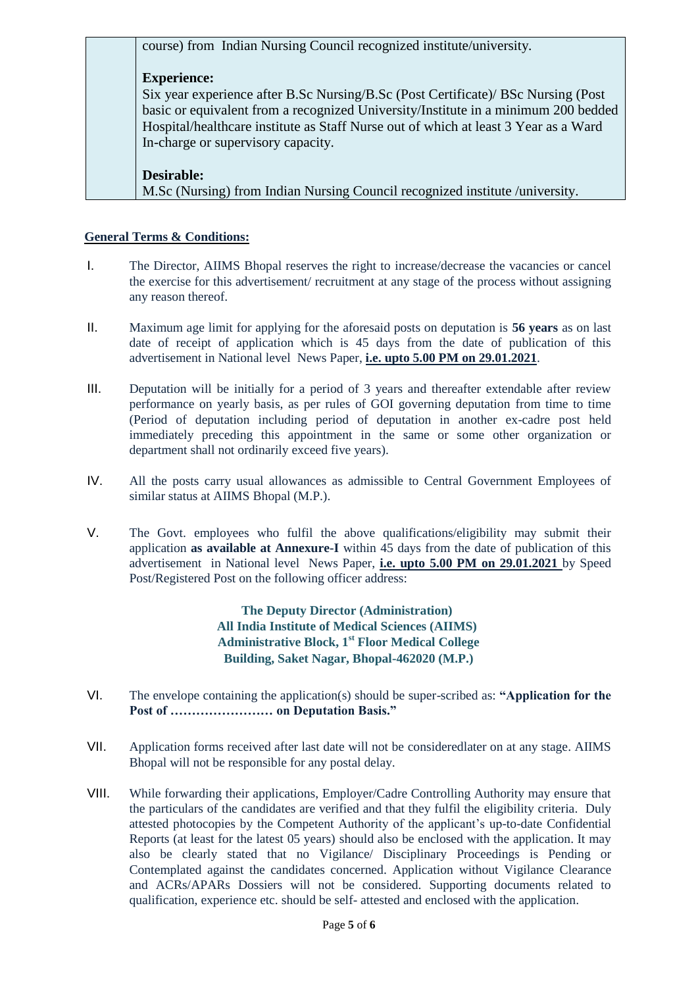course) from Indian Nursing Council recognized institute/university.

### **Experience:**

Six year experience after B.Sc Nursing/B.Sc (Post Certificate)/ BSc Nursing (Post basic or equivalent from a recognized University/Institute in a minimum 200 bedded Hospital/healthcare institute as Staff Nurse out of which at least 3 Year as a Ward In-charge or supervisory capacity.

#### **Desirable:**

M.Sc (Nursing) from Indian Nursing Council recognized institute /university.

#### **General Terms & Conditions:**

- I. The Director, AIIMS Bhopal reserves the right to increase/decrease the vacancies or cancel the exercise for this advertisement/ recruitment at any stage of the process without assigning any reason thereof.
- II. Maximum age limit for applying for the aforesaid posts on deputation is **56 years** as on last date of receipt of application which is 45 days from the date of publication of this advertisement in National level News Paper, **i.e. upto 5.00 PM on 29.01.2021**.
- III. Deputation will be initially for a period of 3 years and thereafter extendable after review performance on yearly basis, as per rules of GOI governing deputation from time to time (Period of deputation including period of deputation in another ex-cadre post held immediately preceding this appointment in the same or some other organization or department shall not ordinarily exceed five years).
- IV. All the posts carry usual allowances as admissible to Central Government Employees of similar status at AIIMS Bhopal (M.P.).
- V. The Govt. employees who fulfil the above qualifications/eligibility may submit their application **as available at Annexure-I** within 45 days from the date of publication of this advertisement in National level News Paper, **i.e. upto 5.00 PM on 29.01.2021** by Speed Post/Registered Post on the following officer address:

**The Deputy Director (Administration) All India Institute of Medical Sciences (AIIMS) Administrative Block, 1st Floor Medical College Building, Saket Nagar, Bhopal-462020 (M.P.)**

- VI. The envelope containing the application(s) should be super-scribed as: **"Application for the Post of …………………… on Deputation Basis."**
- VII. Application forms received after last date will not be consideredlater on at any stage. AIIMS Bhopal will not be responsible for any postal delay.
- VIII. While forwarding their applications, Employer/Cadre Controlling Authority may ensure that the particulars of the candidates are verified and that they fulfil the eligibility criteria. Duly attested photocopies by the Competent Authority of the applicant's up-to-date Confidential Reports (at least for the latest 05 years) should also be enclosed with the application. It may also be clearly stated that no Vigilance/ Disciplinary Proceedings is Pending or Contemplated against the candidates concerned. Application without Vigilance Clearance and ACRs/APARs Dossiers will not be considered. Supporting documents related to qualification, experience etc. should be self- attested and enclosed with the application.